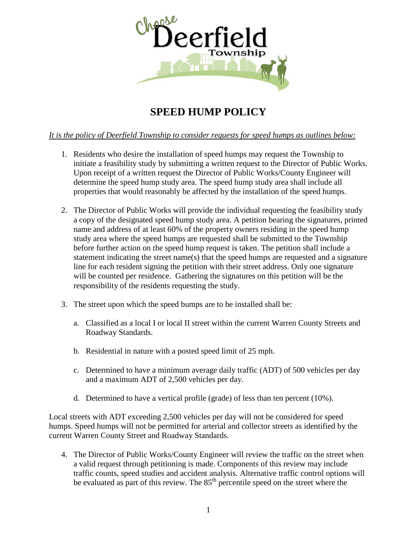

## **SPEED HUMP POLICY**

## *It is the policy of Deerfield Township to consider requests for speed humps as outlines below:*

- 1. Residents who desire the installation of speed humps may request the Township to initiate a feasibility study by submitting a written request to the Director of Public Works. Upon receipt of a written request the Director of Public Works/County Engineer will determine the speed hump study area. The speed hump study area shall include all properties that would reasonably be affected by the installation of the speed humps.
- 2. The Director of Public Works will provide the individual requesting the feasibility study a copy of the designated speed hump study area. A petition bearing the signatures, printed name and address of at least 60% of the property owners residing in the speed hump study area where the speed humps are requested shall be submitted to the Township before further action on the speed hump request is taken. The petition shall include a statement indicating the street name(s) that the speed humps are requested and a signature line for each resident signing the petition with their street address. Only one signature will be counted per residence. Gathering the signatures on this petition will be the responsibility of the residents requesting the study.
- 3. The street upon which the speed bumps are to be installed shall be:
	- a. Classified as a local I or local II street within the current Warren County Streets and Roadway Standards.
	- b. Residential in nature with a posted speed limit of 25 mph.
	- c. Determined to have a minimum average daily traffic (ADT) of 500 vehicles per day and a maximum ADT of 2,500 vehicles per day.
	- d. Determined to have a vertical profile (grade) of less than ten percent (10%).

Local streets with ADT exceeding 2,500 vehicles per day will not be considered for speed humps. Speed humps will not be permitted for arterial and collector streets as identified by the current Warren County Street and Roadway Standards.

4. The Director of Public Works/County Engineer will review the traffic on the street when a valid request through petitioning is made. Components of this review may include traffic counts, speed studies and accident analysis. Alternative traffic control options will be evaluated as part of this review. The  $85<sup>th</sup>$  percentile speed on the street where the